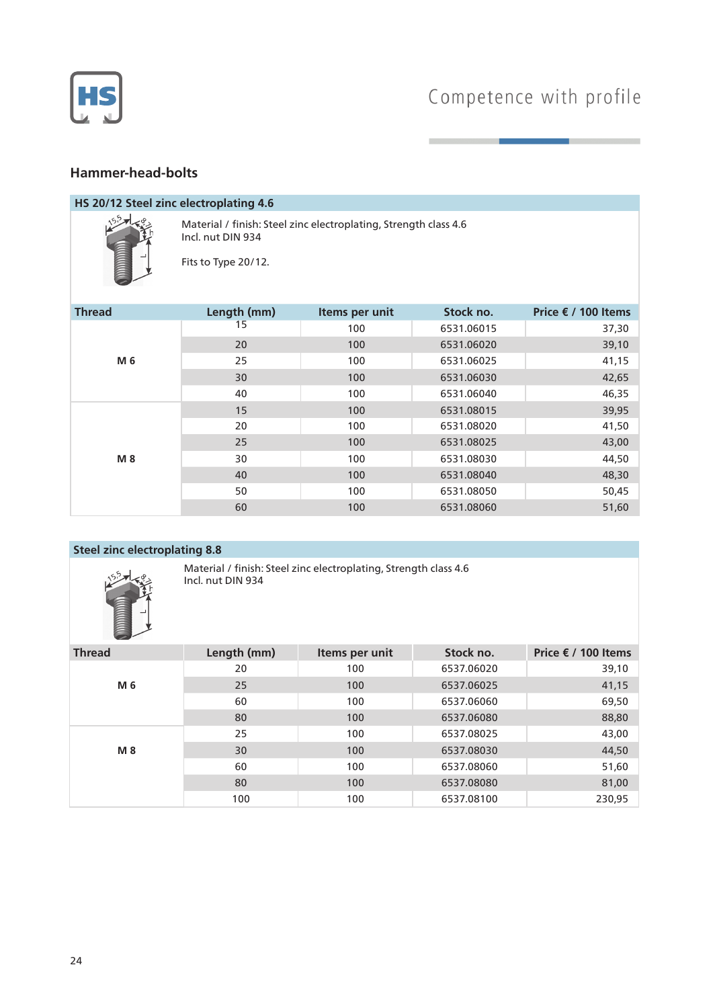

# Competence with profile

## **Hammer-head-bolts**

#### **HS 20/12 Steel zinc electroplating 4.6**



Material / finish: Steel zinc electroplating, Strength class 4.6 Incl. nut DIN 934

Fits to Type 20/12.

| <b>Thread</b> | Length (mm) | Items per unit | Stock no.  | Price € / 100 Items |
|---------------|-------------|----------------|------------|---------------------|
| M 6           | 15          | 100            | 6531.06015 | 37,30               |
|               | 20          | 100            | 6531.06020 | 39,10               |
|               | 25          | 100            | 6531.06025 | 41,15               |
|               | 30          | 100            | 6531.06030 | 42,65               |
|               | 40          | 100            | 6531.06040 | 46,35               |
| M 8           | 15          | 100            | 6531.08015 | 39,95               |
|               | 20          | 100            | 6531.08020 | 41,50               |
|               | 25          | 100            | 6531.08025 | 43,00               |
|               | 30          | 100            | 6531.08030 | 44,50               |
|               | 40          | 100            | 6531.08040 | 48,30               |
|               | 50          | 100            | 6531.08050 | 50,45               |
|               | 60          | 100            | 6531.08060 | 51,60               |

#### **Steel zinc electroplating 8.8**



Material / finish: Steel zinc electroplating, Strength class 4.6 Incl. nut DIN 934

| <b>Thread</b> | Length (mm) | Items per unit | Stock no.  | Price € / 100 Items |
|---------------|-------------|----------------|------------|---------------------|
| M 6           | 20          | 100            | 6537.06020 | 39,10               |
|               | 25          | 100            | 6537.06025 | 41,15               |
|               | 60          | 100            | 6537.06060 | 69,50               |
|               | 80          | 100            | 6537.06080 | 88,80               |
| <b>M8</b>     | 25          | 100            | 6537.08025 | 43,00               |
|               | 30          | 100            | 6537.08030 | 44,50               |
|               | 60          | 100            | 6537.08060 | 51,60               |
|               | 80          | 100            | 6537.08080 | 81,00               |
|               | 100         | 100            | 6537.08100 | 230,95              |